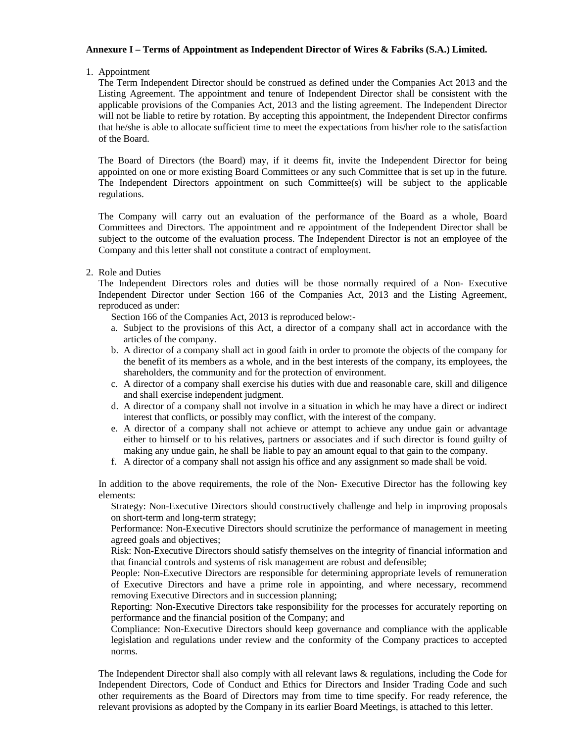## **Annexure I – Terms of Appointment as Independent Director of Wires & Fabriks (S.A.) Limited.**

1. Appointment

The Term Independent Director should be construed as defined under the Companies Act 2013 and the Listing Agreement. The appointment and tenure of Independent Director shall be consistent with the applicable provisions of the Companies Act, 2013 and the listing agreement. The Independent Director will not be liable to retire by rotation. By accepting this appointment, the Independent Director confirms that he/she is able to allocate sufficient time to meet the expectations from his/her role to the satisfaction of the Board.

The Board of Directors (the Board) may, if it deems fit, invite the Independent Director for being appointed on one or more existing Board Committees or any such Committee that is set up in the future. The Independent Directors appointment on such Committee(s) will be subject to the applicable regulations.

The Company will carry out an evaluation of the performance of the Board as a whole, Board Committees and Directors. The appointment and re appointment of the Independent Director shall be subject to the outcome of the evaluation process. The Independent Director is not an employee of the Company and this letter shall not constitute a contract of employment.

2. Role and Duties

The Independent Directors roles and duties will be those normally required of a Non- Executive Independent Director under Section 166 of the Companies Act, 2013 and the Listing Agreement, reproduced as under:

Section 166 of the Companies Act, 2013 is reproduced below:-

- a. Subject to the provisions of this Act, a director of a company shall act in accordance with the articles of the company.
- b. A director of a company shall act in good faith in order to promote the objects of the company for the benefit of its members as a whole, and in the best interests of the company, its employees, the shareholders, the community and for the protection of environment.
- c. A director of a company shall exercise his duties with due and reasonable care, skill and diligence and shall exercise independent judgment.
- d. A director of a company shall not involve in a situation in which he may have a direct or indirect interest that conflicts, or possibly may conflict, with the interest of the company.
- e. A director of a company shall not achieve or attempt to achieve any undue gain or advantage either to himself or to his relatives, partners or associates and if such director is found guilty of making any undue gain, he shall be liable to pay an amount equal to that gain to the company.
- f. A director of a company shall not assign his office and any assignment so made shall be void.

In addition to the above requirements, the role of the Non- Executive Director has the following key elements:

Strategy: Non-Executive Directors should constructively challenge and help in improving proposals on short-term and long-term strategy;

Performance: Non-Executive Directors should scrutinize the performance of management in meeting agreed goals and objectives;

Risk: Non-Executive Directors should satisfy themselves on the integrity of financial information and that financial controls and systems of risk management are robust and defensible;

People: Non-Executive Directors are responsible for determining appropriate levels of remuneration of Executive Directors and have a prime role in appointing, and where necessary, recommend removing Executive Directors and in succession planning;

Reporting: Non-Executive Directors take responsibility for the processes for accurately reporting on performance and the financial position of the Company; and

Compliance: Non-Executive Directors should keep governance and compliance with the applicable legislation and regulations under review and the conformity of the Company practices to accepted norms.

The Independent Director shall also comply with all relevant laws & regulations, including the Code for Independent Directors, Code of Conduct and Ethics for Directors and Insider Trading Code and such other requirements as the Board of Directors may from time to time specify. For ready reference, the relevant provisions as adopted by the Company in its earlier Board Meetings, is attached to this letter.